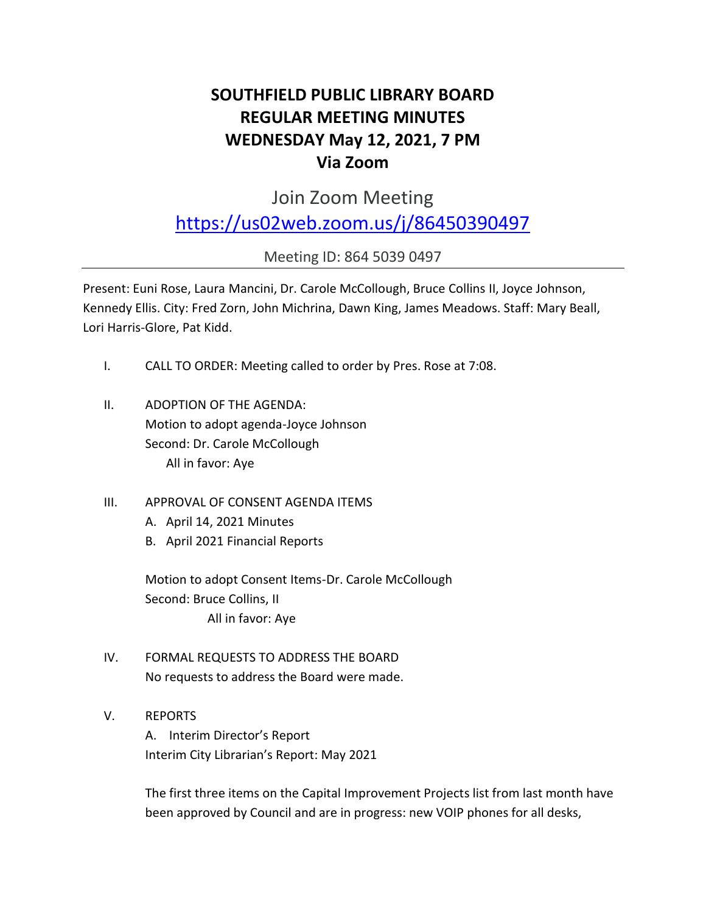# **SOUTHFIELD PUBLIC LIBRARY BOARD REGULAR MEETING MINUTES WEDNESDAY May 12, 2021, 7 PM Via Zoom**

Join Zoom Meeting

## <https://us02web.zoom.us/j/86450390497>

Meeting ID: 864 5039 0497

Present: Euni Rose, Laura Mancini, Dr. Carole McCollough, Bruce Collins II, Joyce Johnson, Kennedy Ellis. City: Fred Zorn, John Michrina, Dawn King, James Meadows. Staff: Mary Beall, Lori Harris-Glore, Pat Kidd.

- I. CALL TO ORDER: Meeting called to order by Pres. Rose at 7:08.
- II. ADOPTION OF THE AGENDA: Motion to adopt agenda-Joyce Johnson Second: Dr. Carole McCollough All in favor: Aye
- III. APPROVAL OF CONSENT AGENDA ITEMS
	- A. April 14, 2021 Minutes
	- B. April 2021 Financial Reports

Motion to adopt Consent Items-Dr. Carole McCollough Second: Bruce Collins, II All in favor: Aye

- IV. FORMAL REQUESTS TO ADDRESS THE BOARD No requests to address the Board were made.
- V. REPORTS

A. Interim Director's Report Interim City Librarian's Report: May 2021

The first three items on the Capital Improvement Projects list from last month have been approved by Council and are in progress: new VOIP phones for all desks,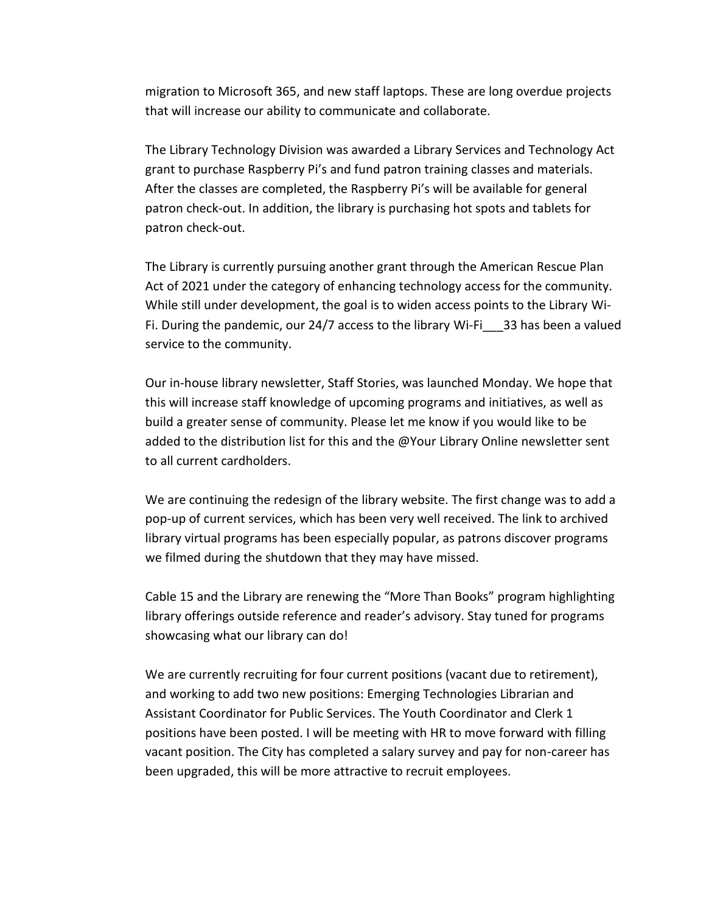migration to Microsoft 365, and new staff laptops. These are long overdue projects that will increase our ability to communicate and collaborate.

The Library Technology Division was awarded a Library Services and Technology Act grant to purchase Raspberry Pi's and fund patron training classes and materials. After the classes are completed, the Raspberry Pi's will be available for general patron check-out. In addition, the library is purchasing hot spots and tablets for patron check-out.

The Library is currently pursuing another grant through the American Rescue Plan Act of 2021 under the category of enhancing technology access for the community. While still under development, the goal is to widen access points to the Library Wi-Fi. During the pandemic, our 24/7 access to the library Wi-Fi $\qquad$  33 has been a valued service to the community.

Our in-house library newsletter, Staff Stories, was launched Monday. We hope that this will increase staff knowledge of upcoming programs and initiatives, as well as build a greater sense of community. Please let me know if you would like to be added to the distribution list for this and the @Your Library Online newsletter sent to all current cardholders.

We are continuing the redesign of the library website. The first change was to add a pop-up of current services, which has been very well received. The link to archived library virtual programs has been especially popular, as patrons discover programs we filmed during the shutdown that they may have missed.

Cable 15 and the Library are renewing the "More Than Books" program highlighting library offerings outside reference and reader's advisory. Stay tuned for programs showcasing what our library can do!

We are currently recruiting for four current positions (vacant due to retirement), and working to add two new positions: Emerging Technologies Librarian and Assistant Coordinator for Public Services. The Youth Coordinator and Clerk 1 positions have been posted. I will be meeting with HR to move forward with filling vacant position. The City has completed a salary survey and pay for non-career has been upgraded, this will be more attractive to recruit employees.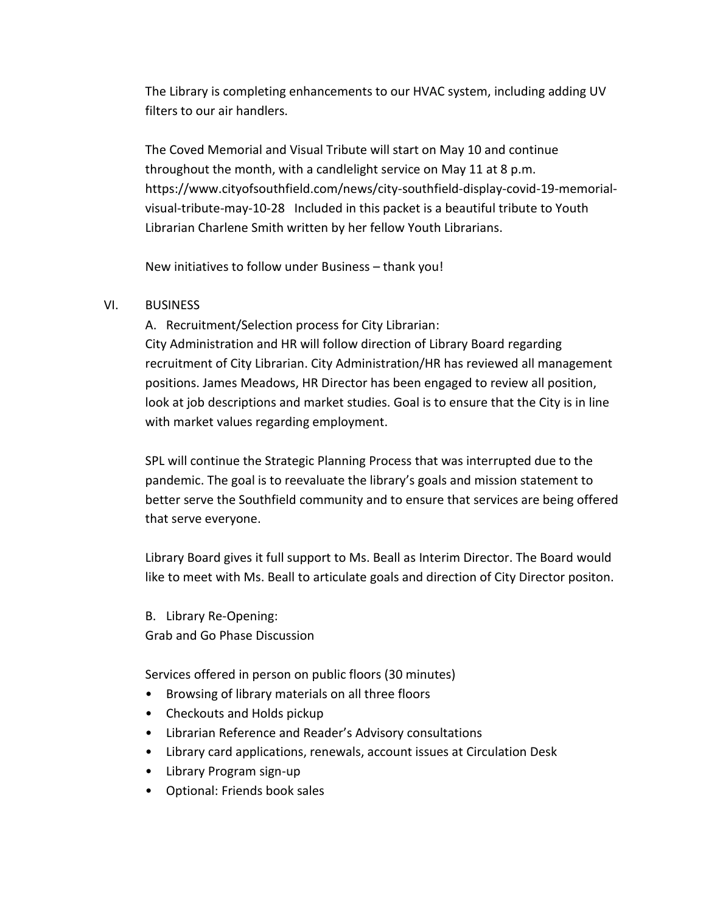The Library is completing enhancements to our HVAC system, including adding UV filters to our air handlers.

The Coved Memorial and Visual Tribute will start on May 10 and continue throughout the month, with a candlelight service on May 11 at 8 p.m. https://www.cityofsouthfield.com/news/city-southfield-display-covid-19-memorialvisual-tribute-may-10-28 Included in this packet is a beautiful tribute to Youth Librarian Charlene Smith written by her fellow Youth Librarians.

New initiatives to follow under Business – thank you!

#### VI. BUSINESS

A. Recruitment/Selection process for City Librarian: City Administration and HR will follow direction of Library Board regarding recruitment of City Librarian. City Administration/HR has reviewed all management positions. James Meadows, HR Director has been engaged to review all position, look at job descriptions and market studies. Goal is to ensure that the City is in line with market values regarding employment.

SPL will continue the Strategic Planning Process that was interrupted due to the pandemic. The goal is to reevaluate the library's goals and mission statement to better serve the Southfield community and to ensure that services are being offered that serve everyone.

Library Board gives it full support to Ms. Beall as Interim Director. The Board would like to meet with Ms. Beall to articulate goals and direction of City Director positon.

B. Library Re-Opening: Grab and Go Phase Discussion

Services offered in person on public floors (30 minutes)

- Browsing of library materials on all three floors
- Checkouts and Holds pickup
- Librarian Reference and Reader's Advisory consultations
- Library card applications, renewals, account issues at Circulation Desk
- Library Program sign-up
- Optional: Friends book sales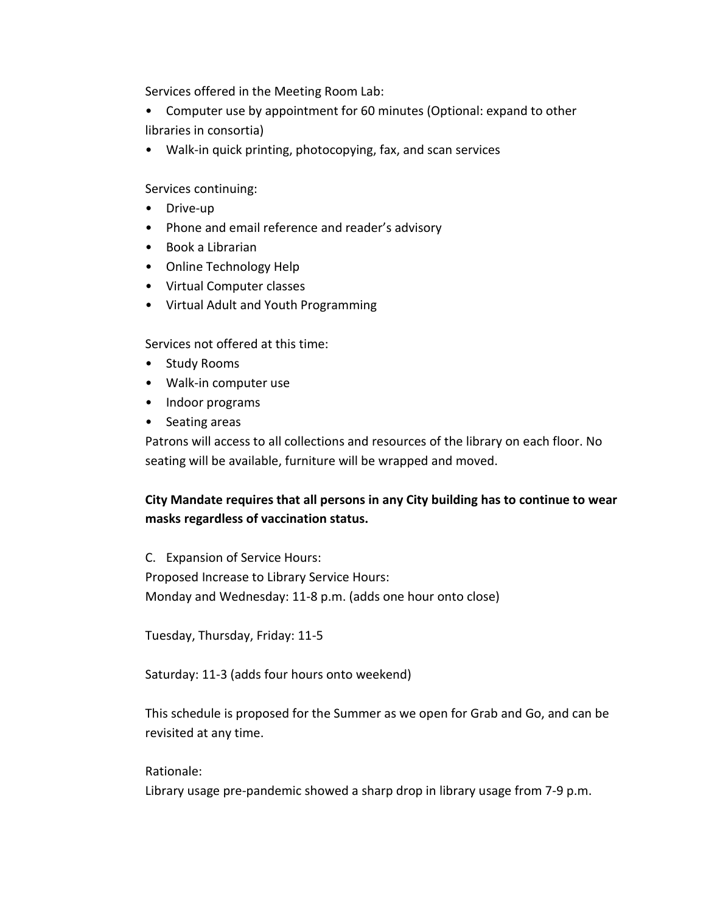Services offered in the Meeting Room Lab:

• Computer use by appointment for 60 minutes (Optional: expand to other libraries in consortia)

• Walk-in quick printing, photocopying, fax, and scan services

Services continuing:

- Drive-up
- Phone and email reference and reader's advisory
- Book a Librarian
- Online Technology Help
- Virtual Computer classes
- Virtual Adult and Youth Programming

Services not offered at this time:

- Study Rooms
- Walk-in computer use
- Indoor programs
- Seating areas

Patrons will access to all collections and resources of the library on each floor. No seating will be available, furniture will be wrapped and moved.

### **City Mandate requires that all persons in any City building has to continue to wear masks regardless of vaccination status.**

C. Expansion of Service Hours: Proposed Increase to Library Service Hours: Monday and Wednesday: 11-8 p.m. (adds one hour onto close)

Tuesday, Thursday, Friday: 11-5

Saturday: 11-3 (adds four hours onto weekend)

This schedule is proposed for the Summer as we open for Grab and Go, and can be revisited at any time.

Rationale:

Library usage pre-pandemic showed a sharp drop in library usage from 7-9 p.m.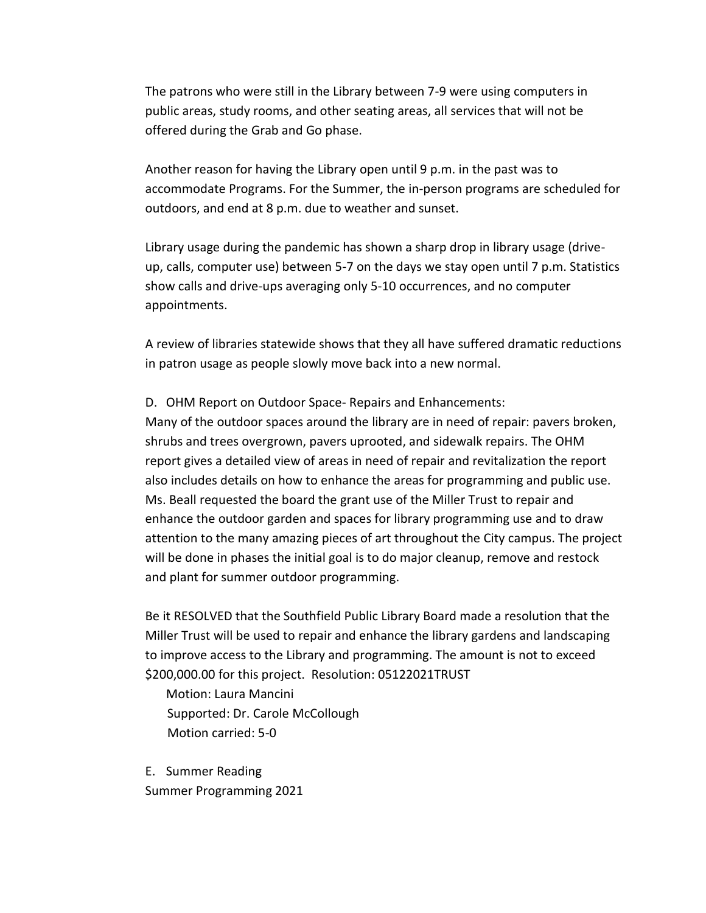The patrons who were still in the Library between 7-9 were using computers in public areas, study rooms, and other seating areas, all services that will not be offered during the Grab and Go phase.

Another reason for having the Library open until 9 p.m. in the past was to accommodate Programs. For the Summer, the in-person programs are scheduled for outdoors, and end at 8 p.m. due to weather and sunset.

Library usage during the pandemic has shown a sharp drop in library usage (driveup, calls, computer use) between 5-7 on the days we stay open until 7 p.m. Statistics show calls and drive-ups averaging only 5-10 occurrences, and no computer appointments.

A review of libraries statewide shows that they all have suffered dramatic reductions in patron usage as people slowly move back into a new normal.

D. OHM Report on Outdoor Space- Repairs and Enhancements: Many of the outdoor spaces around the library are in need of repair: pavers broken, shrubs and trees overgrown, pavers uprooted, and sidewalk repairs. The OHM report gives a detailed view of areas in need of repair and revitalization the report also includes details on how to enhance the areas for programming and public use. Ms. Beall requested the board the grant use of the Miller Trust to repair and enhance the outdoor garden and spaces for library programming use and to draw attention to the many amazing pieces of art throughout the City campus. The project will be done in phases the initial goal is to do major cleanup, remove and restock and plant for summer outdoor programming.

Be it RESOLVED that the Southfield Public Library Board made a resolution that the Miller Trust will be used to repair and enhance the library gardens and landscaping to improve access to the Library and programming. The amount is not to exceed \$200,000.00 for this project. Resolution: 05122021TRUST

Motion: Laura Mancini Supported: Dr. Carole McCollough Motion carried: 5-0

E. Summer Reading Summer Programming 2021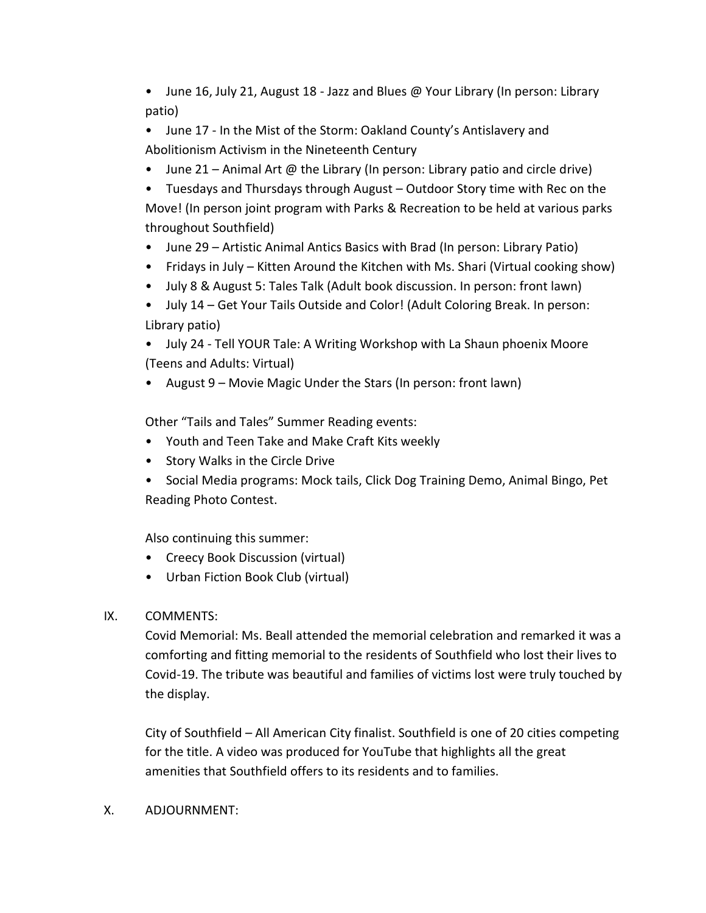• June 16, July 21, August 18 - Jazz and Blues @ Your Library (In person: Library patio)

• June 17 - In the Mist of the Storm: Oakland County's Antislavery and Abolitionism Activism in the Nineteenth Century

• June 21 – Animal Art @ the Library (In person: Library patio and circle drive)

• Tuesdays and Thursdays through August – Outdoor Story time with Rec on the Move! (In person joint program with Parks & Recreation to be held at various parks throughout Southfield)

- June 29 Artistic Animal Antics Basics with Brad (In person: Library Patio)
- Fridays in July Kitten Around the Kitchen with Ms. Shari (Virtual cooking show)
- July 8 & August 5: Tales Talk (Adult book discussion. In person: front lawn)
- July 14 Get Your Tails Outside and Color! (Adult Coloring Break. In person: Library patio)

• July 24 - Tell YOUR Tale: A Writing Workshop with La Shaun phoenix Moore (Teens and Adults: Virtual)

• August 9 – Movie Magic Under the Stars (In person: front lawn)

Other "Tails and Tales" Summer Reading events:

- Youth and Teen Take and Make Craft Kits weekly
- Story Walks in the Circle Drive
- Social Media programs: Mock tails, Click Dog Training Demo, Animal Bingo, Pet Reading Photo Contest.

Also continuing this summer:

- Creecy Book Discussion (virtual)
- Urban Fiction Book Club (virtual)
- IX. COMMENTS:

Covid Memorial: Ms. Beall attended the memorial celebration and remarked it was a comforting and fitting memorial to the residents of Southfield who lost their lives to Covid-19. The tribute was beautiful and families of victims lost were truly touched by the display.

City of Southfield – All American City finalist. Southfield is one of 20 cities competing for the title. A video was produced for YouTube that highlights all the great amenities that Southfield offers to its residents and to families.

#### X. ADJOURNMENT: